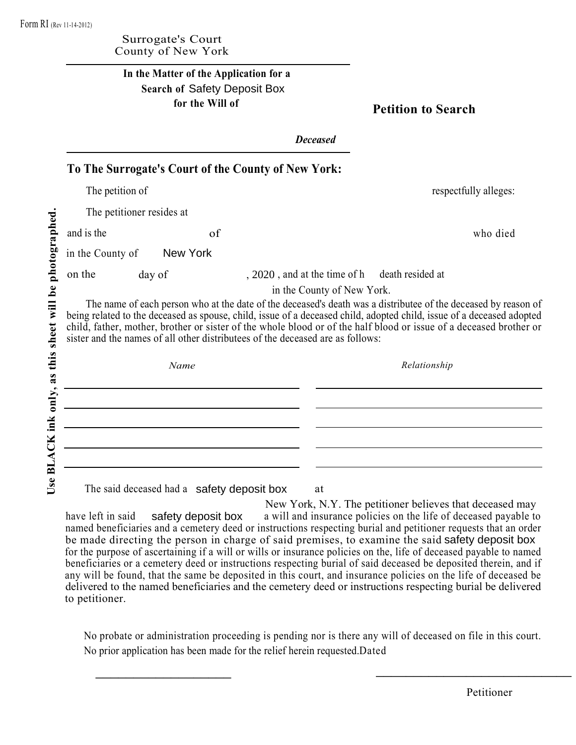**only, as this sheet will be photographed.**

Jse BLACK ink only, as this sheet will be photographed.

**Use BLACK ink**

Surrogate's Court County of New York

## **for the Will of Search of** Safety Deposit Box **In the Matter of the Application for a**

**Petition to Search**

*Deceased*

## **To The Surrogate's Court of the County of New York:**

| The petition of  |                           |                                                                                | respectfully alleges:                                                                                                                                                                                                                                                                                                                                         |  |
|------------------|---------------------------|--------------------------------------------------------------------------------|---------------------------------------------------------------------------------------------------------------------------------------------------------------------------------------------------------------------------------------------------------------------------------------------------------------------------------------------------------------|--|
|                  | The petitioner resides at |                                                                                |                                                                                                                                                                                                                                                                                                                                                               |  |
| and is the       | οf                        |                                                                                | who died                                                                                                                                                                                                                                                                                                                                                      |  |
| in the County of | <b>New York</b>           |                                                                                |                                                                                                                                                                                                                                                                                                                                                               |  |
| on the           | day of                    | 2020, and at the time of h death resided at                                    |                                                                                                                                                                                                                                                                                                                                                               |  |
|                  |                           | in the County of New York.                                                     |                                                                                                                                                                                                                                                                                                                                                               |  |
|                  |                           | sister and the names of all other distributees of the deceased are as follows: | The name of each person who at the date of the deceased's death was a distributee of the deceased by reason of<br>being related to the deceased as spouse, child, issue of a deceased child, adopted child, issue of a deceased adopted<br>child, father, mother, brother or sister of the whole blood or of the half blood or issue of a deceased brother or |  |
|                  |                           |                                                                                | $D - l - l - l - l - l - l - l$                                                                                                                                                                                                                                                                                                                               |  |

| Name | Relationship |
|------|--------------|
|      |              |
|      |              |
|      |              |
|      |              |
|      |              |
|      |              |
|      |              |
|      |              |

The said deceased had a **safety deposit box** at

to petitioner. delivered to the named beneficiaries and the cemetery deed or instructions respecting burial be delivered any will be found, that the same be deposited in this court, and insurance policies on the life of deceased be beneficiaries or a cemetery deed or instructions respecting burial of said deceased be deposited therein, and if for the purpose of ascertaining if a will or wills or insurance policies on the, life of deceased payable to named be made directing the person in charge of said premises, to examine the said safety deposit box named beneficiaries and a cemetery deed or instructions respecting burial and petitioner requests that an order have left in said safety deposit box a will and insurance policies on the life of deceased payable to New York, N.Y. The petitioner believes that deceased may

No prior application has been made for the relief herein requested.Dated No probate or administration proceeding is pending nor is there any will of deceased on file in this court.

\_\_\_\_\_\_\_\_\_\_\_\_\_\_\_\_\_\_ \_\_\_\_\_\_\_\_\_\_\_\_\_\_\_\_\_\_\_\_\_\_\_\_\_\_

Petitioner